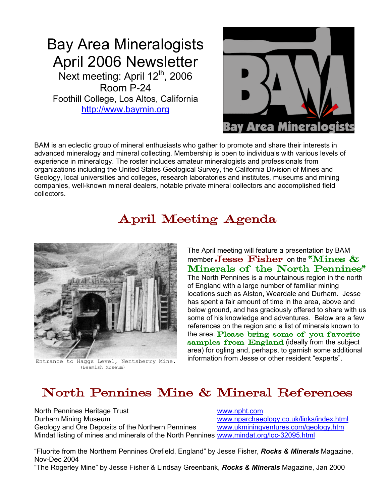## Bay Area Mineralogists April 2006 Newsletter Next meeting: April 12<sup>th</sup>, 2006 Room P-24 Foothill College, Los Altos, California [http://www.baymin.org](http://www.baymin.org/)



BAM is an eclectic group of mineral enthusiasts who gather to promote and share their interests in advanced mineralogy and mineral collecting. Membership is open to individuals with various levels of experience in mineralogy. The roster includes amateur mineralogists and professionals from organizations including the United States Geological Survey, the California Division of Mines and Geology, local universities and colleges, research laboratories and institutes, museums and mining companies, well-known mineral dealers, notable private mineral collectors and accomplished field collectors.

# April Meeting Agenda



(Beamish Museum)

The April meeting will feature a presentation by BAM member Jesse Fisher on the "Mines  $\&$ Minerals of the North Pennines" The North Pennines is a mountainous region in the north of England with a large number of familiar mining locations such as Alston, Weardale and Durham. Jesse has spent a fair amount of time in the area, above and below ground, and has graciously offered to share with us some of his knowledge and adventures. Below are a few references on the region and a list of minerals known to the area. Please bring some of you favorite samples from England (ideally from the subject area) for ogling and, perhaps, to garnish some additional Entrance to Haggs Level, Nentsberry Mine. information from Jesse or other resident "experts".

# North Pennines Mine & Mineral References

North Pennines Heritage Trust [www.npht.com](http://www.npht.com/) Durham Mining Museum<br>Geology and Ore Deposits of the Northern Pennines www.ukminingventures.com/geology.htm Geology and Ore Deposits of the Northern Pennines. Mindat listing of mines and minerals of the North Pennines [www.mindat.org/loc-32095.html](http://www.mindat.org/loc-32095.html)

"Fluorite from the Northern Pennines Orefield, England" by Jesse Fisher, *Rocks & Minerals* Magazine, Nov-Dec 2004

"The Rogerley Mine" by Jesse Fisher & Lindsay Greenbank, *Rocks & Minerals* Magazine, Jan 2000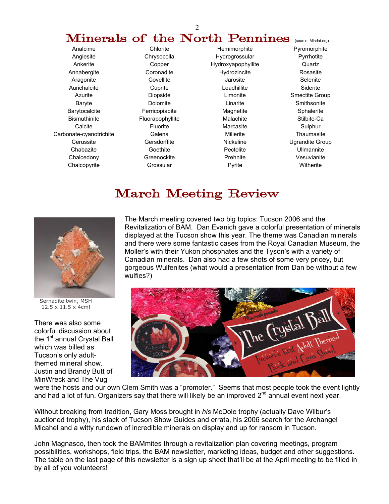# **Minerals of the North Pennines** (source: Mindat.org)

Anglesite Chrysocolla Hydrogrossular Pyrrhotite Ankerite Copper Hydroxyapophyllite Quartz Annabergite Coronadite Hydrozincite Rosasite Aragonite Covellite Covellite Jarosite Selenite Aurichalcite Cuprite Cuprite Leadhillite Siderite Azurite **Contains Diopside** Chronic Limonite Smectite Group Baryte **Dolomite** Dolomite **Linarite** Smithsonite Barytocalcite **Ferricopiapite** Magnetite Sphalerite Sphalerite Bismuthinite Fluorapophyllite Malachite Stilbite-Ca Calcite Fluorite Marcasite Sulphur Carbonate-cyanotrichite Galena Millerite Thaumasite Cerussite **Gersdorffite Gerstorffite** Nickeline **Nickeline** Ugrandite Group Chabazite Goethite Pectolite Ullmannite Chalcedony **Greenockite** Prehnite Vesuvianite Chalcopyrite Grossular Pyrite Witherite

Analcime Chlorite Hemimorphite Pyromorphite

## March Meeting Review



 Sernadite twin, MSH 12.5 x 11.5 x 4cm!

There was also some colorful discussion about the 1<sup>st</sup> annual Crystal Ball which was billed as Tucson's only adultthemed mineral show. Justin and Brandy Butt of MinWreck and The Vug

The March meeting covered two big topics: Tucson 2006 and the Revitalization of BAM. Dan Evanich gave a colorful presentation of minerals displayed at the Tucson show this year. The theme was Canadian minerals and there were some fantastic cases from the Royal Canadian Museum, the Moller's with their Yukon phosphates and the Tyson's with a variety of Canadian minerals. Dan also had a few shots of some very pricey, but gorgeous Wulfenites (what would a presentation from Dan be without a few wulfies?)



were the hosts and our own Clem Smith was a "promoter." Seems that most people took the event lightly and had a lot of fun. Organizers say that there will likely be an improved  $2^{nd}$  annual event next year.

Without breaking from tradition, Gary Moss brought in *his* McDole trophy (actually Dave Wilbur's auctioned trophy), his stack of Tucson Show Guides and errata, his 2006 search for the Archangel Micahel and a witty rundown of incredible minerals on display and up for ransom in Tucson.

John Magnasco, then took the BAMmites through a revitalization plan covering meetings, program possibilities, workshops, field trips, the BAM newsletter, marketing ideas, budget and other suggestions. The table on the last page of this newsletter is a sign up sheet that'll be at the April meeting to be filled in by all of you volunteers!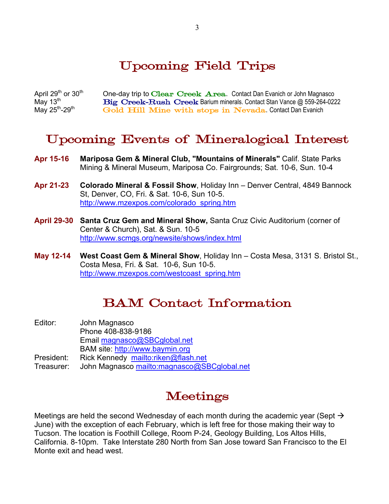## Upcoming Field Trips

April 29<sup>th</sup> or 30<sup>th</sup> One-day trip to Clear Creek Area. Contact Dan Evanich or John Magnasco<br>May 13<sup>th</sup> **Big Creek-Rush Creek Barium minerals. Contact Stan Vance @ 559-264-022** May 13<sup>th</sup> Big Creek–Rush Creek Barium minerals. Contact Stan Vance @ 559-264-0222 May 25<sup>th</sup>-29<sup>th</sup> Gold Hill Mine with stops in Nevada. Contact Dan Evanich Gold Hill Mine with stops in Nevada. Contact Dan Evanich

## Upcoming Events of Mineralogical Interest

- **Apr 15-16 Mariposa Gem & Mineral Club, "Mountains of Minerals"** Calif. State Parks Mining & Mineral Museum, Mariposa Co. Fairgrounds; Sat. 10-6, Sun. 10-4
- **Apr 21-23 Colorado Mineral & Fossil Show**, Holiday Inn Denver Central, 4849 Bannock St, Denver, CO, Fri. & Sat. 10-6, Sun 10-5. [http://www.mzexpos.com/colorado\\_spring.htm](http://www.mzexpos.com/colorado_spring.htm)
- **April 29-30 Santa Cruz Gem and Mineral Show,** Santa Cruz Civic Auditorium (corner of Center & Church), Sat. & Sun. 10-5 <http://www.scmgs.org/newsite/shows/index.html>
- **May 12-14 West Coast Gem & Mineral Show**, Holiday Inn Costa Mesa, 3131 S. Bristol St., Costa Mesa, Fri. & Sat. 10-6, Sun 10-5. [http://www.mzexpos.com/westcoast\\_spring.htm](http://www.mzexpos.com/westcoast_spring.htm)

#### BAM Contact Information

| Editor:    | John Magnasco                               |
|------------|---------------------------------------------|
|            | Phone 408-838-9186                          |
|            | Email magnasco@SBCglobal.net                |
|            | BAM site: http://www.baymin.org             |
| President: | Rick Kennedy mailto:riken@flash.net         |
| Treasurer: | John Magnasco mailto:magnasco@SBCglobal.net |

## Meetings

Meetings are held the second Wednesday of each month during the academic year (Sept  $\rightarrow$ June) with the exception of each February, which is left free for those making their way to Tucson. The location is Foothill College, Room P-24, Geology Building, Los Altos Hills, California. 8-10pm. Take Interstate 280 North from San Jose toward San Francisco to the El Monte exit and head west.